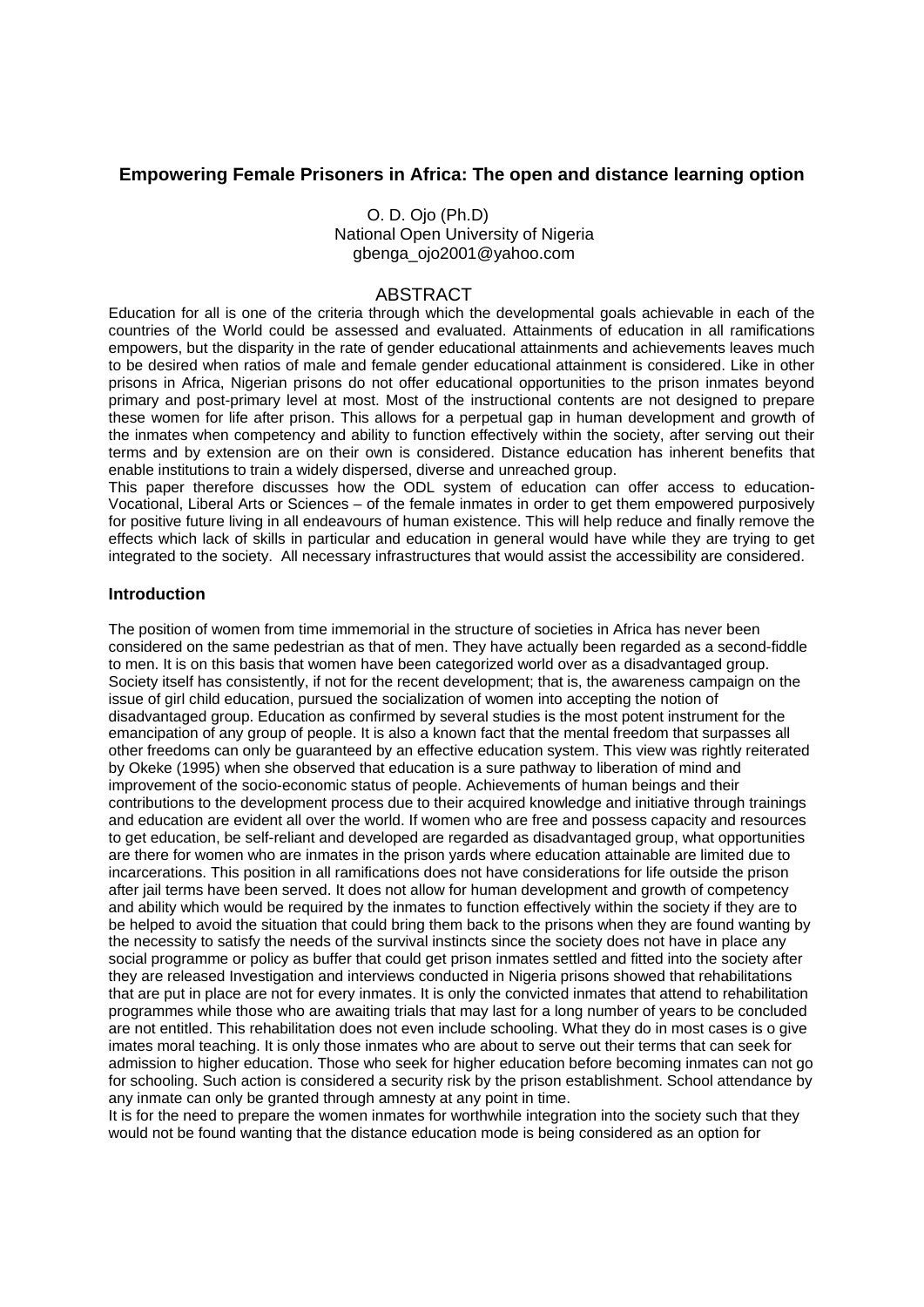# **Empowering Female Prisoners in Africa: The open and distance learning option**

 O. D. Ojo (Ph.D) National Open University of Nigeria gbenga\_ojo2001@yahoo.com

## ABSTRACT

Education for all is one of the criteria through which the developmental goals achievable in each of the countries of the World could be assessed and evaluated. Attainments of education in all ramifications empowers, but the disparity in the rate of gender educational attainments and achievements leaves much to be desired when ratios of male and female gender educational attainment is considered. Like in other prisons in Africa, Nigerian prisons do not offer educational opportunities to the prison inmates beyond primary and post-primary level at most. Most of the instructional contents are not designed to prepare these women for life after prison. This allows for a perpetual gap in human development and growth of the inmates when competency and ability to function effectively within the society, after serving out their terms and by extension are on their own is considered. Distance education has inherent benefits that enable institutions to train a widely dispersed, diverse and unreached group.

This paper therefore discusses how the ODL system of education can offer access to education-Vocational, Liberal Arts or Sciences – of the female inmates in order to get them empowered purposively for positive future living in all endeavours of human existence. This will help reduce and finally remove the effects which lack of skills in particular and education in general would have while they are trying to get integrated to the society. All necessary infrastructures that would assist the accessibility are considered.

### **Introduction**

The position of women from time immemorial in the structure of societies in Africa has never been considered on the same pedestrian as that of men. They have actually been regarded as a second-fiddle to men. It is on this basis that women have been categorized world over as a disadvantaged group. Society itself has consistently, if not for the recent development; that is, the awareness campaign on the issue of girl child education, pursued the socialization of women into accepting the notion of disadvantaged group. Education as confirmed by several studies is the most potent instrument for the emancipation of any group of people. It is also a known fact that the mental freedom that surpasses all other freedoms can only be guaranteed by an effective education system. This view was rightly reiterated by Okeke (1995) when she observed that education is a sure pathway to liberation of mind and improvement of the socio-economic status of people. Achievements of human beings and their contributions to the development process due to their acquired knowledge and initiative through trainings and education are evident all over the world. If women who are free and possess capacity and resources to get education, be self-reliant and developed are regarded as disadvantaged group, what opportunities are there for women who are inmates in the prison yards where education attainable are limited due to incarcerations. This position in all ramifications does not have considerations for life outside the prison after jail terms have been served. It does not allow for human development and growth of competency and ability which would be required by the inmates to function effectively within the society if they are to be helped to avoid the situation that could bring them back to the prisons when they are found wanting by the necessity to satisfy the needs of the survival instincts since the society does not have in place any social programme or policy as buffer that could get prison inmates settled and fitted into the society after they are released Investigation and interviews conducted in Nigeria prisons showed that rehabilitations that are put in place are not for every inmates. It is only the convicted inmates that attend to rehabilitation programmes while those who are awaiting trials that may last for a long number of years to be concluded are not entitled. This rehabilitation does not even include schooling. What they do in most cases is o give imates moral teaching. It is only those inmates who are about to serve out their terms that can seek for admission to higher education. Those who seek for higher education before becoming inmates can not go for schooling. Such action is considered a security risk by the prison establishment. School attendance by any inmate can only be granted through amnesty at any point in time.

It is for the need to prepare the women inmates for worthwhile integration into the society such that they would not be found wanting that the distance education mode is being considered as an option for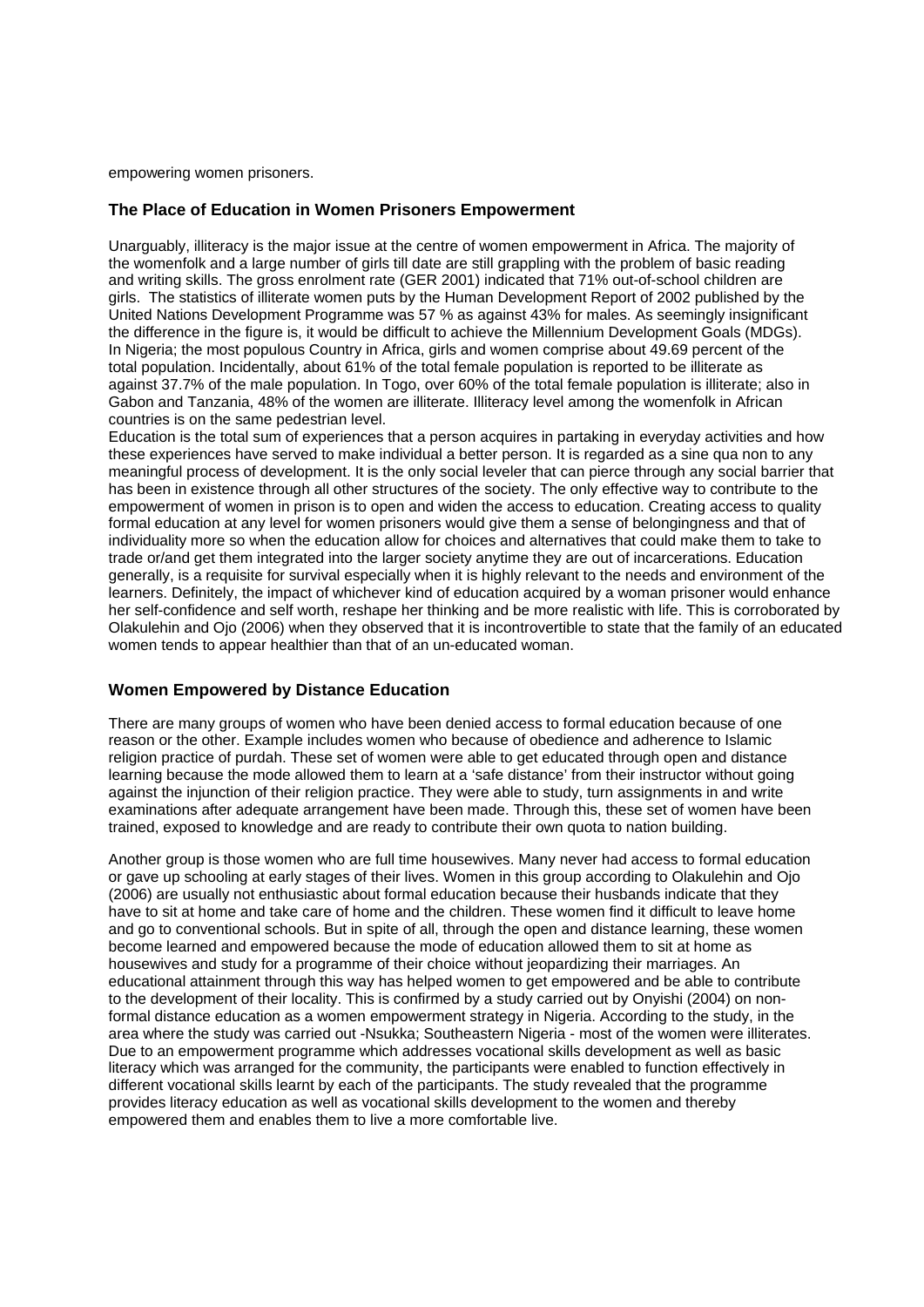empowering women prisoners.

### **The Place of Education in Women Prisoners Empowerment**

Unarguably, illiteracy is the major issue at the centre of women empowerment in Africa. The majority of the womenfolk and a large number of girls till date are still grappling with the problem of basic reading and writing skills. The gross enrolment rate (GER 2001) indicated that 71% out-of-school children are girls. The statistics of illiterate women puts by the Human Development Report of 2002 published by the United Nations Development Programme was 57 % as against 43% for males. As seemingly insignificant the difference in the figure is, it would be difficult to achieve the Millennium Development Goals (MDGs). In Nigeria; the most populous Country in Africa, girls and women comprise about 49.69 percent of the total population. Incidentally, about 61% of the total female population is reported to be illiterate as against 37.7% of the male population. In Togo, over 60% of the total female population is illiterate; also in Gabon and Tanzania, 48% of the women are illiterate. Illiteracy level among the womenfolk in African countries is on the same pedestrian level.

Education is the total sum of experiences that a person acquires in partaking in everyday activities and how these experiences have served to make individual a better person. It is regarded as a sine qua non to any meaningful process of development. It is the only social leveler that can pierce through any social barrier that has been in existence through all other structures of the society. The only effective way to contribute to the empowerment of women in prison is to open and widen the access to education. Creating access to quality formal education at any level for women prisoners would give them a sense of belongingness and that of individuality more so when the education allow for choices and alternatives that could make them to take to trade or/and get them integrated into the larger society anytime they are out of incarcerations. Education generally, is a requisite for survival especially when it is highly relevant to the needs and environment of the learners. Definitely, the impact of whichever kind of education acquired by a woman prisoner would enhance her self-confidence and self worth, reshape her thinking and be more realistic with life. This is corroborated by Olakulehin and Ojo (2006) when they observed that it is incontrovertible to state that the family of an educated women tends to appear healthier than that of an un-educated woman.

## **Women Empowered by Distance Education**

There are many groups of women who have been denied access to formal education because of one reason or the other. Example includes women who because of obedience and adherence to Islamic religion practice of purdah. These set of women were able to get educated through open and distance learning because the mode allowed them to learn at a 'safe distance' from their instructor without going against the injunction of their religion practice. They were able to study, turn assignments in and write examinations after adequate arrangement have been made. Through this, these set of women have been trained, exposed to knowledge and are ready to contribute their own quota to nation building.

Another group is those women who are full time housewives. Many never had access to formal education or gave up schooling at early stages of their lives. Women in this group according to Olakulehin and Ojo (2006) are usually not enthusiastic about formal education because their husbands indicate that they have to sit at home and take care of home and the children. These women find it difficult to leave home and go to conventional schools. But in spite of all, through the open and distance learning, these women become learned and empowered because the mode of education allowed them to sit at home as housewives and study for a programme of their choice without jeopardizing their marriages. An educational attainment through this way has helped women to get empowered and be able to contribute to the development of their locality. This is confirmed by a study carried out by Onyishi (2004) on nonformal distance education as a women empowerment strategy in Nigeria. According to the study, in the area where the study was carried out -Nsukka; Southeastern Nigeria - most of the women were illiterates. Due to an empowerment programme which addresses vocational skills development as well as basic literacy which was arranged for the community, the participants were enabled to function effectively in different vocational skills learnt by each of the participants. The study revealed that the programme provides literacy education as well as vocational skills development to the women and thereby empowered them and enables them to live a more comfortable live.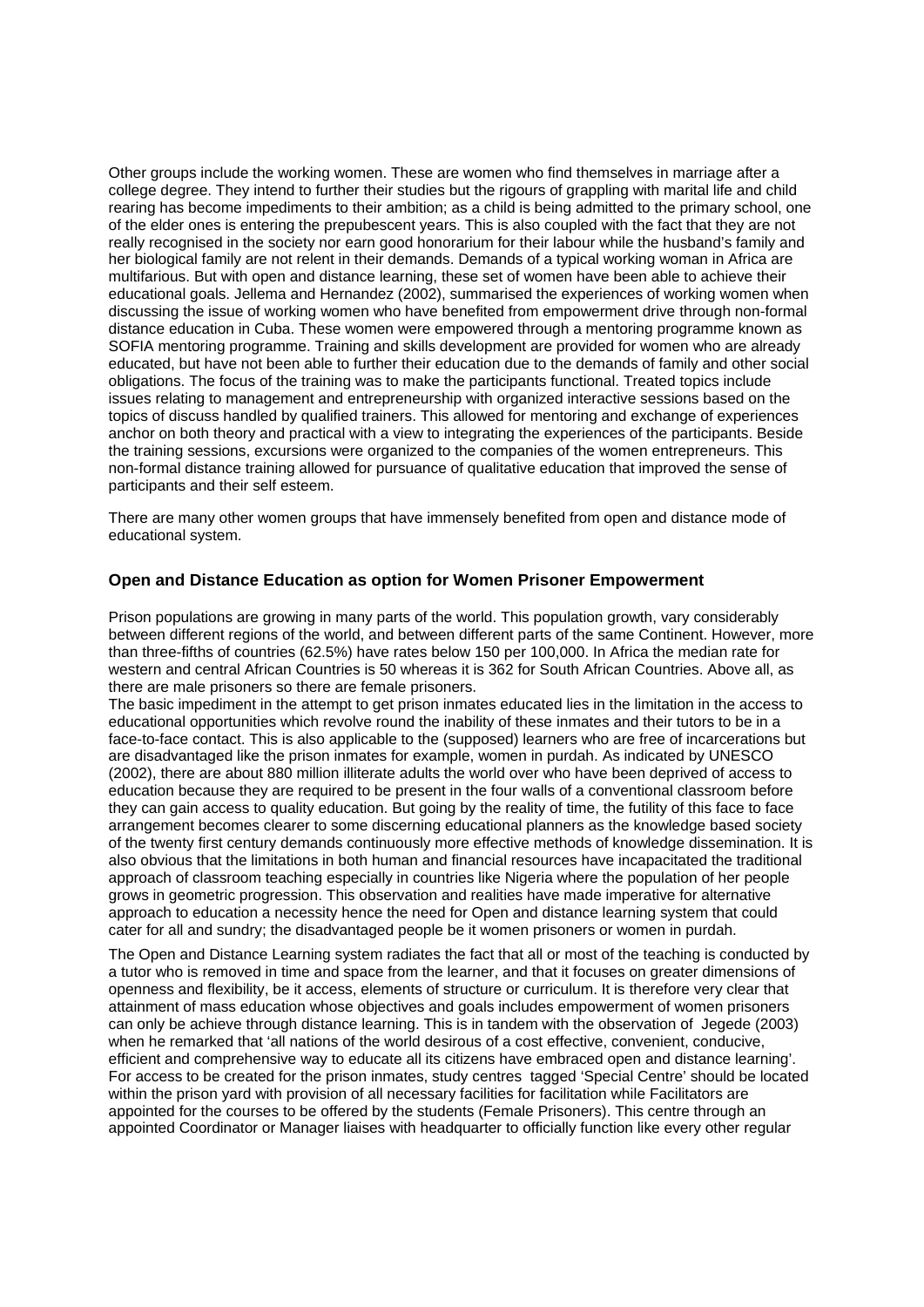Other groups include the working women. These are women who find themselves in marriage after a college degree. They intend to further their studies but the rigours of grappling with marital life and child rearing has become impediments to their ambition; as a child is being admitted to the primary school, one of the elder ones is entering the prepubescent years. This is also coupled with the fact that they are not really recognised in the society nor earn good honorarium for their labour while the husband's family and her biological family are not relent in their demands. Demands of a typical working woman in Africa are multifarious. But with open and distance learning, these set of women have been able to achieve their educational goals. Jellema and Hernandez (2002), summarised the experiences of working women when discussing the issue of working women who have benefited from empowerment drive through non-formal distance education in Cuba. These women were empowered through a mentoring programme known as SOFIA mentoring programme. Training and skills development are provided for women who are already educated, but have not been able to further their education due to the demands of family and other social obligations. The focus of the training was to make the participants functional. Treated topics include issues relating to management and entrepreneurship with organized interactive sessions based on the topics of discuss handled by qualified trainers. This allowed for mentoring and exchange of experiences anchor on both theory and practical with a view to integrating the experiences of the participants. Beside the training sessions, excursions were organized to the companies of the women entrepreneurs. This non-formal distance training allowed for pursuance of qualitative education that improved the sense of participants and their self esteem.

There are many other women groups that have immensely benefited from open and distance mode of educational system.

### **Open and Distance Education as option for Women Prisoner Empowerment**

Prison populations are growing in many parts of the world. This population growth, vary considerably between different regions of the world, and between different parts of the same Continent. However, more than three-fifths of countries (62.5%) have rates below 150 per 100,000. In Africa the median rate for western and central African Countries is 50 whereas it is 362 for South African Countries. Above all, as there are male prisoners so there are female prisoners.

The basic impediment in the attempt to get prison inmates educated lies in the limitation in the access to educational opportunities which revolve round the inability of these inmates and their tutors to be in a face-to-face contact. This is also applicable to the (supposed) learners who are free of incarcerations but are disadvantaged like the prison inmates for example, women in purdah. As indicated by UNESCO (2002), there are about 880 million illiterate adults the world over who have been deprived of access to education because they are required to be present in the four walls of a conventional classroom before they can gain access to quality education. But going by the reality of time, the futility of this face to face arrangement becomes clearer to some discerning educational planners as the knowledge based society of the twenty first century demands continuously more effective methods of knowledge dissemination. It is also obvious that the limitations in both human and financial resources have incapacitated the traditional approach of classroom teaching especially in countries like Nigeria where the population of her people grows in geometric progression. This observation and realities have made imperative for alternative approach to education a necessity hence the need for Open and distance learning system that could cater for all and sundry; the disadvantaged people be it women prisoners or women in purdah.

The Open and Distance Learning system radiates the fact that all or most of the teaching is conducted by a tutor who is removed in time and space from the learner, and that it focuses on greater dimensions of openness and flexibility, be it access, elements of structure or curriculum. It is therefore very clear that attainment of mass education whose objectives and goals includes empowerment of women prisoners can only be achieve through distance learning. This is in tandem with the observation of Jegede (2003) when he remarked that 'all nations of the world desirous of a cost effective, convenient, conducive, efficient and comprehensive way to educate all its citizens have embraced open and distance learning'. For access to be created for the prison inmates, study centres tagged 'Special Centre' should be located within the prison yard with provision of all necessary facilities for facilitation while Facilitators are appointed for the courses to be offered by the students (Female Prisoners). This centre through an appointed Coordinator or Manager liaises with headquarter to officially function like every other regular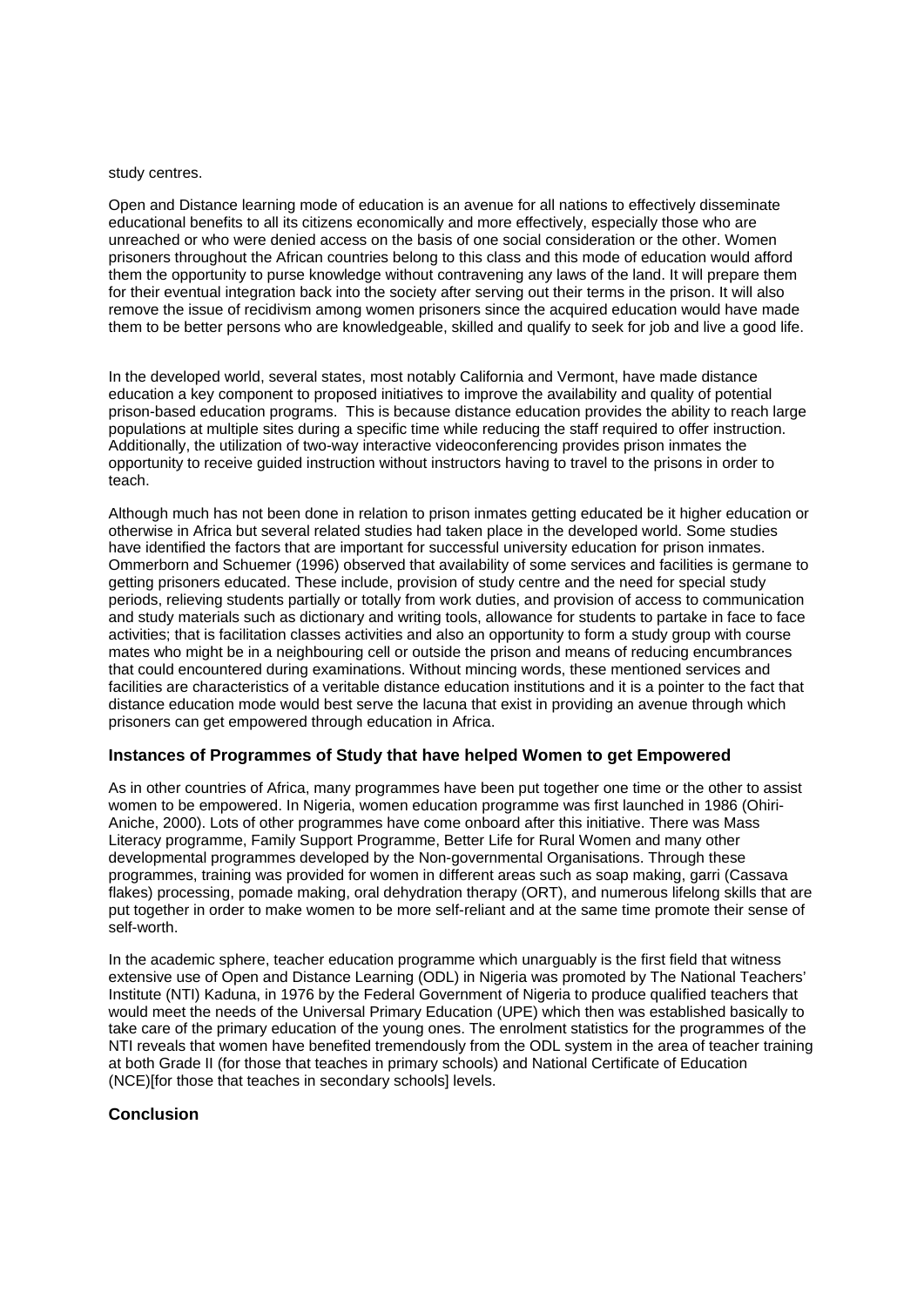#### study centres.

Open and Distance learning mode of education is an avenue for all nations to effectively disseminate educational benefits to all its citizens economically and more effectively, especially those who are unreached or who were denied access on the basis of one social consideration or the other. Women prisoners throughout the African countries belong to this class and this mode of education would afford them the opportunity to purse knowledge without contravening any laws of the land. It will prepare them for their eventual integration back into the society after serving out their terms in the prison. It will also remove the issue of recidivism among women prisoners since the acquired education would have made them to be better persons who are knowledgeable, skilled and qualify to seek for job and live a good life.

In the developed world, several states, most notably California and Vermont, have made distance education a key component to proposed initiatives to improve the availability and quality of potential prison-based education programs. This is because distance education provides the ability to reach large populations at multiple sites during a specific time while reducing the staff required to offer instruction. Additionally, the utilization of two-way interactive videoconferencing provides prison inmates the opportunity to receive guided instruction without instructors having to travel to the prisons in order to teach.

Although much has not been done in relation to prison inmates getting educated be it higher education or otherwise in Africa but several related studies had taken place in the developed world. Some studies have identified the factors that are important for successful university education for prison inmates. Ommerborn and Schuemer (1996) observed that availability of some services and facilities is germane to getting prisoners educated. These include, provision of study centre and the need for special study periods, relieving students partially or totally from work duties, and provision of access to communication and study materials such as dictionary and writing tools, allowance for students to partake in face to face activities; that is facilitation classes activities and also an opportunity to form a study group with course mates who might be in a neighbouring cell or outside the prison and means of reducing encumbrances that could encountered during examinations. Without mincing words, these mentioned services and facilities are characteristics of a veritable distance education institutions and it is a pointer to the fact that distance education mode would best serve the lacuna that exist in providing an avenue through which prisoners can get empowered through education in Africa.

### **Instances of Programmes of Study that have helped Women to get Empowered**

As in other countries of Africa, many programmes have been put together one time or the other to assist women to be empowered. In Nigeria, women education programme was first launched in 1986 (Ohiri-Aniche, 2000). Lots of other programmes have come onboard after this initiative. There was Mass Literacy programme, Family Support Programme, Better Life for Rural Women and many other developmental programmes developed by the Non-governmental Organisations. Through these programmes, training was provided for women in different areas such as soap making, garri (Cassava flakes) processing, pomade making, oral dehydration therapy (ORT), and numerous lifelong skills that are put together in order to make women to be more self-reliant and at the same time promote their sense of self-worth.

In the academic sphere, teacher education programme which unarguably is the first field that witness extensive use of Open and Distance Learning (ODL) in Nigeria was promoted by The National Teachers' Institute (NTI) Kaduna, in 1976 by the Federal Government of Nigeria to produce qualified teachers that would meet the needs of the Universal Primary Education (UPE) which then was established basically to take care of the primary education of the young ones. The enrolment statistics for the programmes of the NTI reveals that women have benefited tremendously from the ODL system in the area of teacher training at both Grade II (for those that teaches in primary schools) and National Certificate of Education (NCE)[for those that teaches in secondary schools] levels.

## **Conclusion**